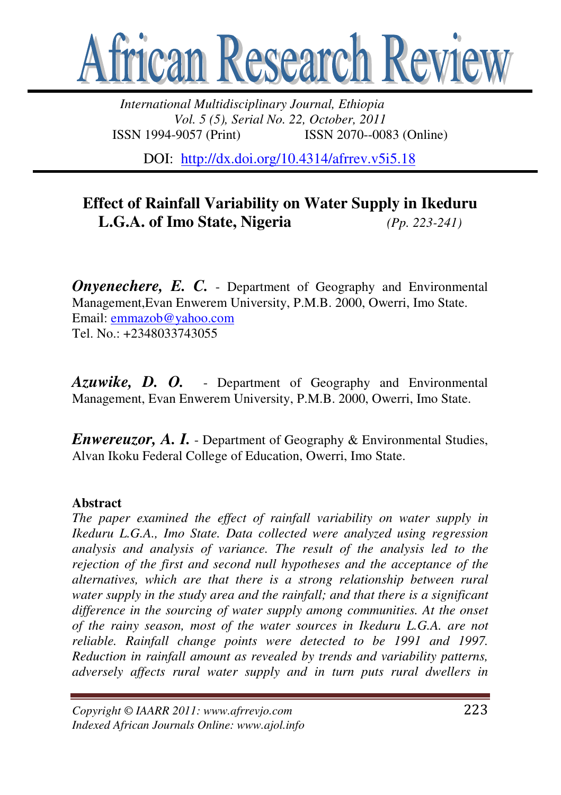

*International Multidisciplinary Journal, Ethiopia Vol. 5 (5), Serial No. 22, October, 2011*  ISSN 1994-9057 (Print) ISSN 2070--0083 (Online)

DOI: http://dx.doi.org/10.4314/afrrev.v5i5.18

# **Effect of Rainfall Variability on Water Supply in Ikeduru L.G.A. of Imo State, Nigeria** *(Pp. 223-241)*

*Onvenechere, E. C.* - Department of Geography and Environmental Management,Evan Enwerem University, P.M.B. 2000, Owerri, Imo State. Email: emmazob@yahoo.com Tel.  $No: +2348033743055$ 

*Azuwike, D. O.* - Department of Geography and Environmental Management, Evan Enwerem University, P.M.B. 2000, Owerri, Imo State.

*Enwereuzor, A. I.* - Department of Geography & Environmental Studies, Alvan Ikoku Federal College of Education, Owerri, Imo State.

# **Abstract**

*The paper examined the effect of rainfall variability on water supply in Ikeduru L.G.A., Imo State. Data collected were analyzed using regression analysis and analysis of variance. The result of the analysis led to the rejection of the first and second null hypotheses and the acceptance of the alternatives, which are that there is a strong relationship between rural water supply in the study area and the rainfall; and that there is a significant difference in the sourcing of water supply among communities. At the onset of the rainy season, most of the water sources in Ikeduru L.G.A. are not reliable. Rainfall change points were detected to be 1991 and 1997. Reduction in rainfall amount as revealed by trends and variability patterns, adversely affects rural water supply and in turn puts rural dwellers in*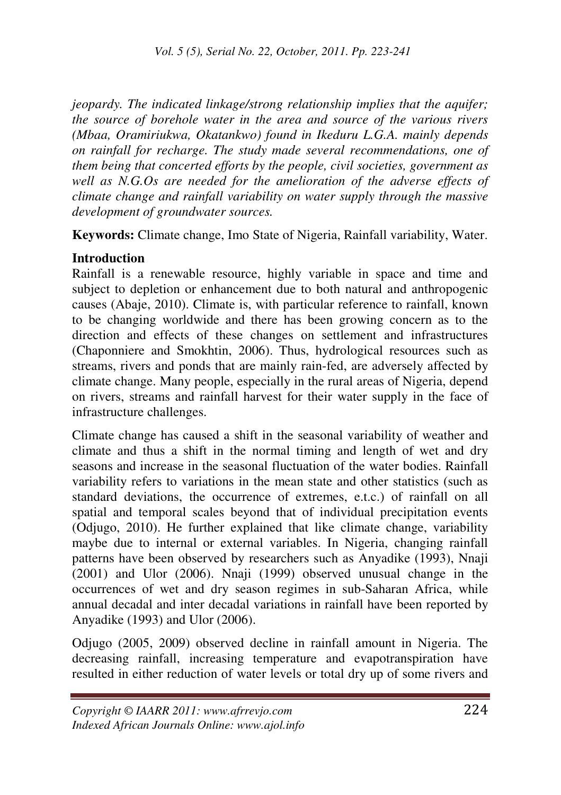*jeopardy. The indicated linkage/strong relationship implies that the aquifer; the source of borehole water in the area and source of the various rivers (Mbaa, Oramiriukwa, Okatankwo) found in Ikeduru L.G.A. mainly depends on rainfall for recharge. The study made several recommendations, one of them being that concerted efforts by the people, civil societies, government as well as N.G.Os are needed for the amelioration of the adverse effects of climate change and rainfall variability on water supply through the massive development of groundwater sources.* 

**Keywords:** Climate change, Imo State of Nigeria, Rainfall variability, Water.

# **Introduction**

Rainfall is a renewable resource, highly variable in space and time and subject to depletion or enhancement due to both natural and anthropogenic causes (Abaje, 2010). Climate is, with particular reference to rainfall, known to be changing worldwide and there has been growing concern as to the direction and effects of these changes on settlement and infrastructures (Chaponniere and Smokhtin, 2006). Thus, hydrological resources such as streams, rivers and ponds that are mainly rain-fed, are adversely affected by climate change. Many people, especially in the rural areas of Nigeria, depend on rivers, streams and rainfall harvest for their water supply in the face of infrastructure challenges.

Climate change has caused a shift in the seasonal variability of weather and climate and thus a shift in the normal timing and length of wet and dry seasons and increase in the seasonal fluctuation of the water bodies. Rainfall variability refers to variations in the mean state and other statistics (such as standard deviations, the occurrence of extremes, e.t.c.) of rainfall on all spatial and temporal scales beyond that of individual precipitation events (Odjugo, 2010). He further explained that like climate change, variability maybe due to internal or external variables. In Nigeria, changing rainfall patterns have been observed by researchers such as Anyadike (1993), Nnaji (2001) and Ulor (2006). Nnaji (1999) observed unusual change in the occurrences of wet and dry season regimes in sub-Saharan Africa, while annual decadal and inter decadal variations in rainfall have been reported by Anyadike (1993) and Ulor (2006).

Odjugo (2005, 2009) observed decline in rainfall amount in Nigeria. The decreasing rainfall, increasing temperature and evapotranspiration have resulted in either reduction of water levels or total dry up of some rivers and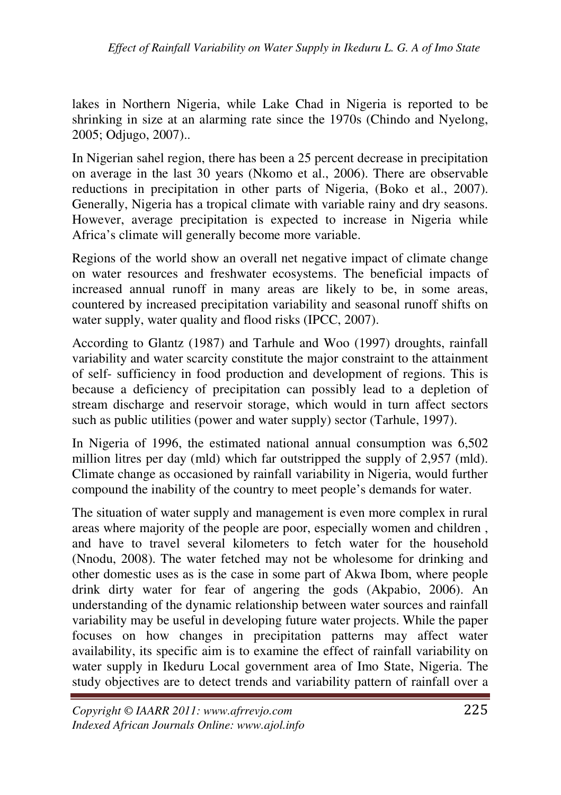lakes in Northern Nigeria, while Lake Chad in Nigeria is reported to be shrinking in size at an alarming rate since the 1970s (Chindo and Nyelong, 2005; Odjugo, 2007)..

In Nigerian sahel region, there has been a 25 percent decrease in precipitation on average in the last 30 years (Nkomo et al., 2006). There are observable reductions in precipitation in other parts of Nigeria, (Boko et al., 2007). Generally, Nigeria has a tropical climate with variable rainy and dry seasons. However, average precipitation is expected to increase in Nigeria while Africa's climate will generally become more variable.

Regions of the world show an overall net negative impact of climate change on water resources and freshwater ecosystems. The beneficial impacts of increased annual runoff in many areas are likely to be, in some areas, countered by increased precipitation variability and seasonal runoff shifts on water supply, water quality and flood risks (IPCC, 2007).

According to Glantz (1987) and Tarhule and Woo (1997) droughts, rainfall variability and water scarcity constitute the major constraint to the attainment of self- sufficiency in food production and development of regions. This is because a deficiency of precipitation can possibly lead to a depletion of stream discharge and reservoir storage, which would in turn affect sectors such as public utilities (power and water supply) sector (Tarhule, 1997).

In Nigeria of 1996, the estimated national annual consumption was 6,502 million litres per day (mld) which far outstripped the supply of 2,957 (mld). Climate change as occasioned by rainfall variability in Nigeria, would further compound the inability of the country to meet people's demands for water.

The situation of water supply and management is even more complex in rural areas where majority of the people are poor, especially women and children , and have to travel several kilometers to fetch water for the household (Nnodu, 2008). The water fetched may not be wholesome for drinking and other domestic uses as is the case in some part of Akwa Ibom, where people drink dirty water for fear of angering the gods (Akpabio, 2006). An understanding of the dynamic relationship between water sources and rainfall variability may be useful in developing future water projects. While the paper focuses on how changes in precipitation patterns may affect water availability, its specific aim is to examine the effect of rainfall variability on water supply in Ikeduru Local government area of Imo State, Nigeria. The study objectives are to detect trends and variability pattern of rainfall over a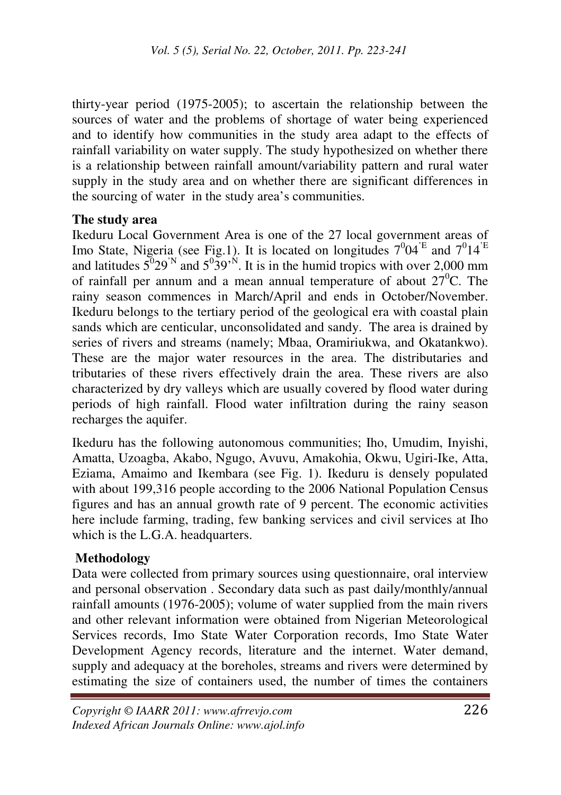thirty-year period (1975-2005); to ascertain the relationship between the sources of water and the problems of shortage of water being experienced and to identify how communities in the study area adapt to the effects of rainfall variability on water supply. The study hypothesized on whether there is a relationship between rainfall amount/variability pattern and rural water supply in the study area and on whether there are significant differences in the sourcing of water in the study area's communities.

#### **The study area**

Ikeduru Local Government Area is one of the 27 local government areas of Imo State, Nigeria (see Fig.1). It is located on longitudes  $7^004^{\text{'E}}$  and  $7^014^{\text{'E}}$ and latitudes  $5^{\degree}29^{\degree}$  and  $5^{\degree}39^{\degree}$ . It is in the humid tropics with over 2,000 mm of rainfall per annum and a mean annual temperature of about  $27^{\circ}$ C. The rainy season commences in March/April and ends in October/November. Ikeduru belongs to the tertiary period of the geological era with coastal plain sands which are centicular, unconsolidated and sandy. The area is drained by series of rivers and streams (namely; Mbaa, Oramiriukwa, and Okatankwo). These are the major water resources in the area. The distributaries and tributaries of these rivers effectively drain the area. These rivers are also characterized by dry valleys which are usually covered by flood water during periods of high rainfall. Flood water infiltration during the rainy season recharges the aquifer.

Ikeduru has the following autonomous communities; Iho, Umudim, Inyishi, Amatta, Uzoagba, Akabo, Ngugo, Avuvu, Amakohia, Okwu, Ugiri-Ike, Atta, Eziama, Amaimo and Ikembara (see Fig. 1). Ikeduru is densely populated with about 199,316 people according to the 2006 National Population Census figures and has an annual growth rate of 9 percent. The economic activities here include farming, trading, few banking services and civil services at Iho which is the L.G.A. headquarters.

# **Methodology**

Data were collected from primary sources using questionnaire, oral interview and personal observation . Secondary data such as past daily/monthly/annual rainfall amounts (1976-2005); volume of water supplied from the main rivers and other relevant information were obtained from Nigerian Meteorological Services records, Imo State Water Corporation records, Imo State Water Development Agency records, literature and the internet. Water demand, supply and adequacy at the boreholes, streams and rivers were determined by estimating the size of containers used, the number of times the containers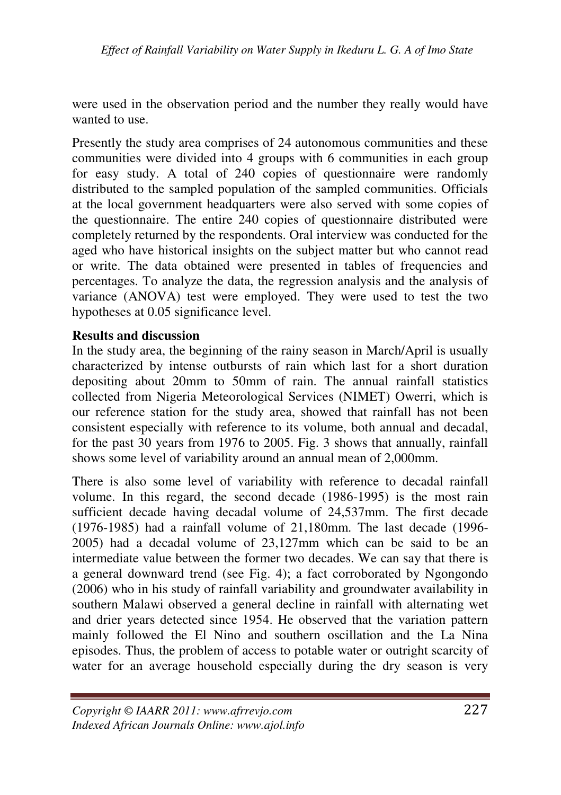were used in the observation period and the number they really would have wanted to use.

Presently the study area comprises of 24 autonomous communities and these communities were divided into 4 groups with 6 communities in each group for easy study. A total of 240 copies of questionnaire were randomly distributed to the sampled population of the sampled communities. Officials at the local government headquarters were also served with some copies of the questionnaire. The entire 240 copies of questionnaire distributed were completely returned by the respondents. Oral interview was conducted for the aged who have historical insights on the subject matter but who cannot read or write. The data obtained were presented in tables of frequencies and percentages. To analyze the data, the regression analysis and the analysis of variance (ANOVA) test were employed. They were used to test the two hypotheses at 0.05 significance level.

# **Results and discussion**

In the study area, the beginning of the rainy season in March/April is usually characterized by intense outbursts of rain which last for a short duration depositing about 20mm to 50mm of rain. The annual rainfall statistics collected from Nigeria Meteorological Services (NIMET) Owerri, which is our reference station for the study area, showed that rainfall has not been consistent especially with reference to its volume, both annual and decadal, for the past 30 years from 1976 to 2005. Fig. 3 shows that annually, rainfall shows some level of variability around an annual mean of 2,000mm.

There is also some level of variability with reference to decadal rainfall volume. In this regard, the second decade (1986-1995) is the most rain sufficient decade having decadal volume of 24,537mm. The first decade (1976-1985) had a rainfall volume of 21,180mm. The last decade (1996- 2005) had a decadal volume of 23,127mm which can be said to be an intermediate value between the former two decades. We can say that there is a general downward trend (see Fig. 4); a fact corroborated by Ngongondo (2006) who in his study of rainfall variability and groundwater availability in southern Malawi observed a general decline in rainfall with alternating wet and drier years detected since 1954. He observed that the variation pattern mainly followed the El Nino and southern oscillation and the La Nina episodes. Thus, the problem of access to potable water or outright scarcity of water for an average household especially during the dry season is very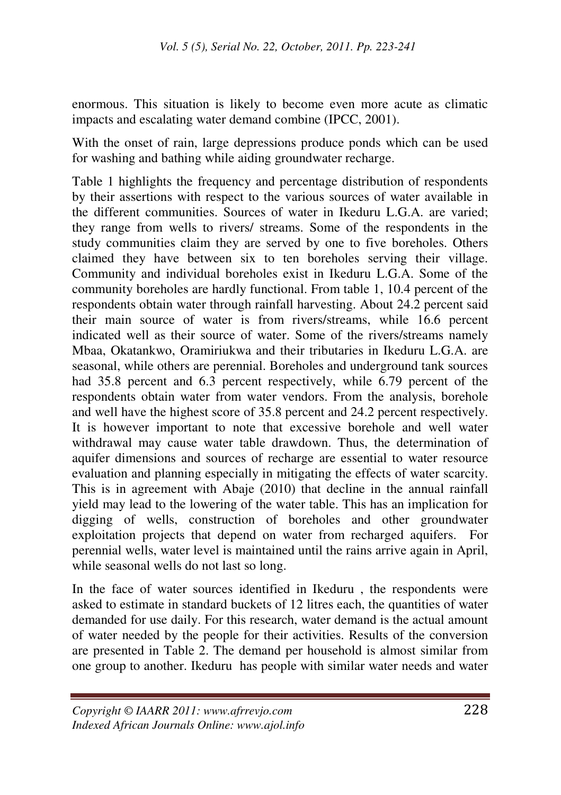enormous. This situation is likely to become even more acute as climatic impacts and escalating water demand combine (IPCC, 2001).

With the onset of rain, large depressions produce ponds which can be used for washing and bathing while aiding groundwater recharge.

Table 1 highlights the frequency and percentage distribution of respondents by their assertions with respect to the various sources of water available in the different communities. Sources of water in Ikeduru L.G.A. are varied; they range from wells to rivers/ streams. Some of the respondents in the study communities claim they are served by one to five boreholes. Others claimed they have between six to ten boreholes serving their village. Community and individual boreholes exist in Ikeduru L.G.A. Some of the community boreholes are hardly functional. From table 1, 10.4 percent of the respondents obtain water through rainfall harvesting. About 24.2 percent said their main source of water is from rivers/streams, while 16.6 percent indicated well as their source of water. Some of the rivers/streams namely Mbaa, Okatankwo, Oramiriukwa and their tributaries in Ikeduru L.G.A. are seasonal, while others are perennial. Boreholes and underground tank sources had 35.8 percent and 6.3 percent respectively, while 6.79 percent of the respondents obtain water from water vendors. From the analysis, borehole and well have the highest score of 35.8 percent and 24.2 percent respectively. It is however important to note that excessive borehole and well water withdrawal may cause water table drawdown. Thus, the determination of aquifer dimensions and sources of recharge are essential to water resource evaluation and planning especially in mitigating the effects of water scarcity. This is in agreement with Abaje (2010) that decline in the annual rainfall yield may lead to the lowering of the water table. This has an implication for digging of wells, construction of boreholes and other groundwater exploitation projects that depend on water from recharged aquifers. For perennial wells, water level is maintained until the rains arrive again in April, while seasonal wells do not last so long.

In the face of water sources identified in Ikeduru , the respondents were asked to estimate in standard buckets of 12 litres each, the quantities of water demanded for use daily. For this research, water demand is the actual amount of water needed by the people for their activities. Results of the conversion are presented in Table 2. The demand per household is almost similar from one group to another. Ikeduru has people with similar water needs and water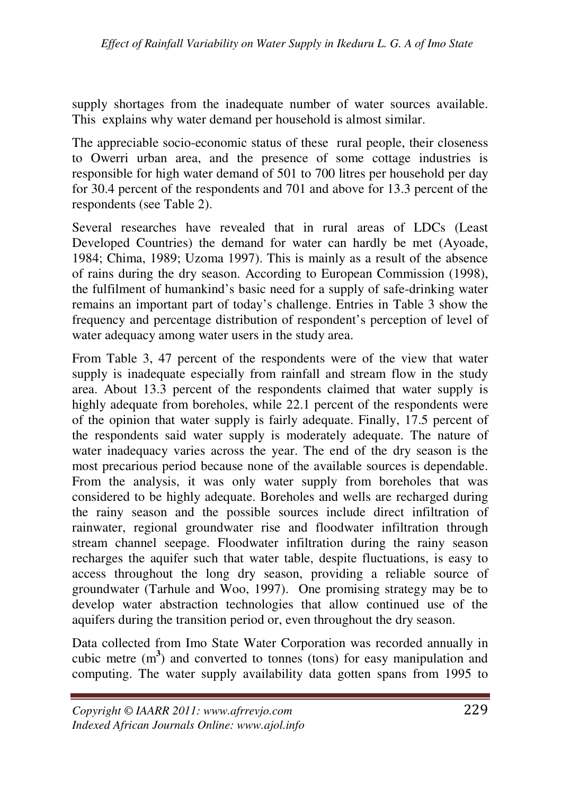supply shortages from the inadequate number of water sources available. This explains why water demand per household is almost similar.

The appreciable socio-economic status of these rural people, their closeness to Owerri urban area, and the presence of some cottage industries is responsible for high water demand of 501 to 700 litres per household per day for 30.4 percent of the respondents and 701 and above for 13.3 percent of the respondents (see Table 2).

Several researches have revealed that in rural areas of LDCs (Least Developed Countries) the demand for water can hardly be met (Ayoade, 1984; Chima, 1989; Uzoma 1997). This is mainly as a result of the absence of rains during the dry season. According to European Commission (1998), the fulfilment of humankind's basic need for a supply of safe-drinking water remains an important part of today's challenge. Entries in Table 3 show the frequency and percentage distribution of respondent's perception of level of water adequacy among water users in the study area.

From Table 3, 47 percent of the respondents were of the view that water supply is inadequate especially from rainfall and stream flow in the study area. About 13.3 percent of the respondents claimed that water supply is highly adequate from boreholes, while 22.1 percent of the respondents were of the opinion that water supply is fairly adequate. Finally, 17.5 percent of the respondents said water supply is moderately adequate. The nature of water inadequacy varies across the year. The end of the dry season is the most precarious period because none of the available sources is dependable. From the analysis, it was only water supply from boreholes that was considered to be highly adequate. Boreholes and wells are recharged during the rainy season and the possible sources include direct infiltration of rainwater, regional groundwater rise and floodwater infiltration through stream channel seepage. Floodwater infiltration during the rainy season recharges the aquifer such that water table, despite fluctuations, is easy to access throughout the long dry season, providing a reliable source of groundwater (Tarhule and Woo, 1997). One promising strategy may be to develop water abstraction technologies that allow continued use of the aquifers during the transition period or, even throughout the dry season.

Data collected from Imo State Water Corporation was recorded annually in cubic metre  $(m<sup>3</sup>)$  and converted to tonnes (tons) for easy manipulation and computing. The water supply availability data gotten spans from 1995 to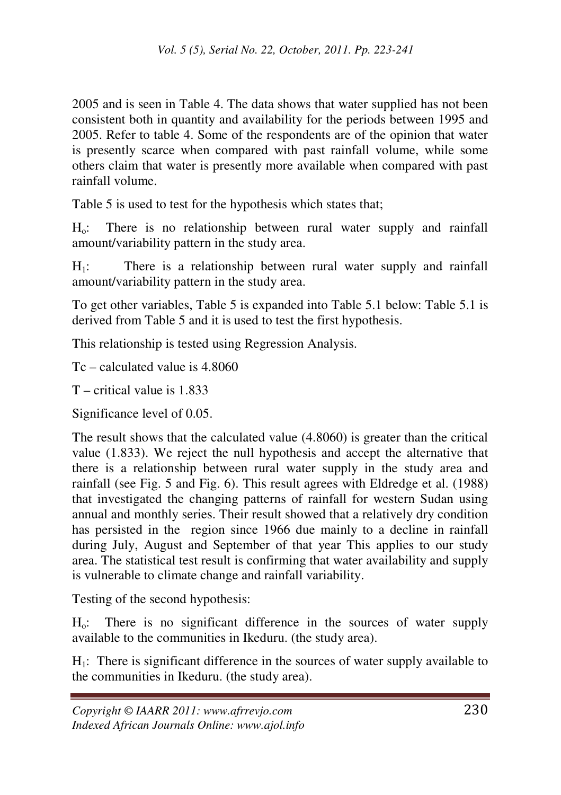2005 and is seen in Table 4. The data shows that water supplied has not been consistent both in quantity and availability for the periods between 1995 and 2005. Refer to table 4. Some of the respondents are of the opinion that water is presently scarce when compared with past rainfall volume, while some others claim that water is presently more available when compared with past rainfall volume.

Table 5 is used to test for the hypothesis which states that;

Ho: There is no relationship between rural water supply and rainfall amount/variability pattern in the study area.

 $H_1$ : There is a relationship between rural water supply and rainfall amount/variability pattern in the study area.

To get other variables, Table 5 is expanded into Table 5.1 below: Table 5.1 is derived from Table 5 and it is used to test the first hypothesis.

This relationship is tested using Regression Analysis.

Tc – calculated value is 4.8060

T – critical value is 1.833

Significance level of 0.05.

The result shows that the calculated value (4.8060) is greater than the critical value (1.833). We reject the null hypothesis and accept the alternative that there is a relationship between rural water supply in the study area and rainfall (see Fig. 5 and Fig. 6). This result agrees with Eldredge et al. (1988) that investigated the changing patterns of rainfall for western Sudan using annual and monthly series. Their result showed that a relatively dry condition has persisted in the region since 1966 due mainly to a decline in rainfall during July, August and September of that year This applies to our study area. The statistical test result is confirming that water availability and supply is vulnerable to climate change and rainfall variability.

Testing of the second hypothesis:

Ho: There is no significant difference in the sources of water supply available to the communities in Ikeduru. (the study area).

 $H<sub>1</sub>$ : There is significant difference in the sources of water supply available to the communities in Ikeduru. (the study area).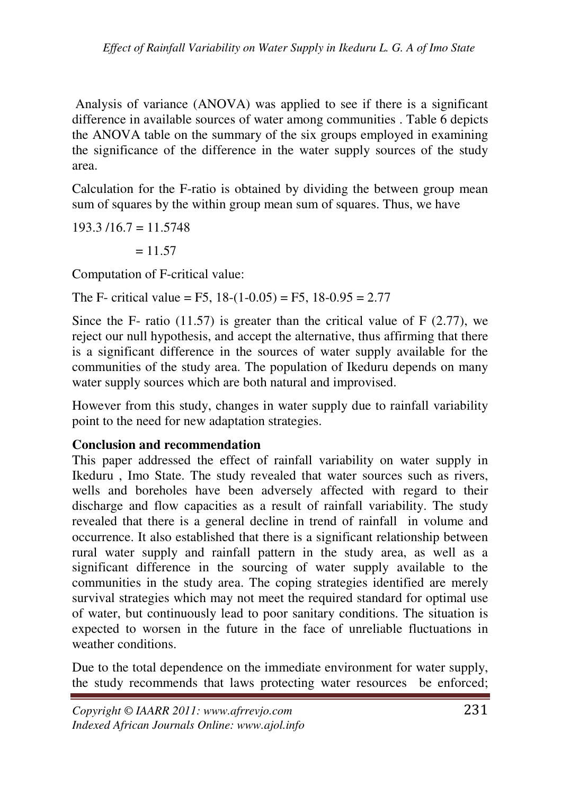Analysis of variance (ANOVA) was applied to see if there is a significant difference in available sources of water among communities . Table 6 depicts the ANOVA table on the summary of the six groups employed in examining the significance of the difference in the water supply sources of the study area.

Calculation for the F-ratio is obtained by dividing the between group mean sum of squares by the within group mean sum of squares. Thus, we have

 $193.3/16.7 = 11.5748$ 

 $= 11.57$ 

Computation of F-critical value:

The F- critical value = F5,  $18-(1-0.05) = F5$ ,  $18-0.95 = 2.77$ 

Since the F- ratio  $(11.57)$  is greater than the critical value of F  $(2.77)$ , we reject our null hypothesis, and accept the alternative, thus affirming that there is a significant difference in the sources of water supply available for the communities of the study area. The population of Ikeduru depends on many water supply sources which are both natural and improvised.

However from this study, changes in water supply due to rainfall variability point to the need for new adaptation strategies.

# **Conclusion and recommendation**

This paper addressed the effect of rainfall variability on water supply in Ikeduru , Imo State. The study revealed that water sources such as rivers, wells and boreholes have been adversely affected with regard to their discharge and flow capacities as a result of rainfall variability. The study revealed that there is a general decline in trend of rainfall in volume and occurrence. It also established that there is a significant relationship between rural water supply and rainfall pattern in the study area, as well as a significant difference in the sourcing of water supply available to the communities in the study area. The coping strategies identified are merely survival strategies which may not meet the required standard for optimal use of water, but continuously lead to poor sanitary conditions. The situation is expected to worsen in the future in the face of unreliable fluctuations in weather conditions.

Due to the total dependence on the immediate environment for water supply, the study recommends that laws protecting water resources be enforced;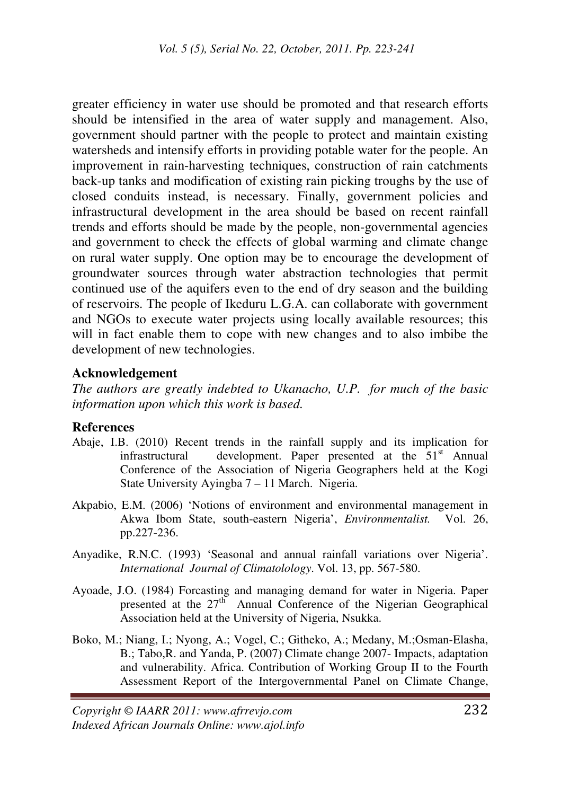greater efficiency in water use should be promoted and that research efforts should be intensified in the area of water supply and management. Also, government should partner with the people to protect and maintain existing watersheds and intensify efforts in providing potable water for the people. An improvement in rain-harvesting techniques, construction of rain catchments back-up tanks and modification of existing rain picking troughs by the use of closed conduits instead, is necessary. Finally, government policies and infrastructural development in the area should be based on recent rainfall trends and efforts should be made by the people, non-governmental agencies and government to check the effects of global warming and climate change on rural water supply. One option may be to encourage the development of groundwater sources through water abstraction technologies that permit continued use of the aquifers even to the end of dry season and the building of reservoirs. The people of Ikeduru L.G.A. can collaborate with government and NGOs to execute water projects using locally available resources; this will in fact enable them to cope with new changes and to also imbibe the development of new technologies.

#### **Acknowledgement**

*The authors are greatly indebted to Ukanacho, U.P. for much of the basic information upon which this work is based.* 

#### **References**

- Abaje, I.B. (2010) Recent trends in the rainfall supply and its implication for infrastructural development. Paper presented at the  $51<sup>st</sup>$  Annual Conference of the Association of Nigeria Geographers held at the Kogi State University Ayingba 7 – 11 March. Nigeria.
- Akpabio, E.M. (2006) 'Notions of environment and environmental management in Akwa Ibom State, south-eastern Nigeria', *Environmentalist.* Vol. 26, pp.227-236.
- Anyadike, R.N.C. (1993) 'Seasonal and annual rainfall variations over Nigeria'. *International Journal of Climatolology*. Vol. 13, pp. 567-580.
- Ayoade, J.O. (1984) Forcasting and managing demand for water in Nigeria. Paper presented at the  $27<sup>th</sup>$  Annual Conference of the Nigerian Geographical Association held at the University of Nigeria, Nsukka.
- Boko, M.; Niang, I.; Nyong, A.; Vogel, C.; Githeko, A.; Medany, M.;Osman-Elasha, B.; Tabo,R. and Yanda, P. (2007) Climate change 2007- Impacts, adaptation and vulnerability. Africa. Contribution of Working Group II to the Fourth Assessment Report of the Intergovernmental Panel on Climate Change,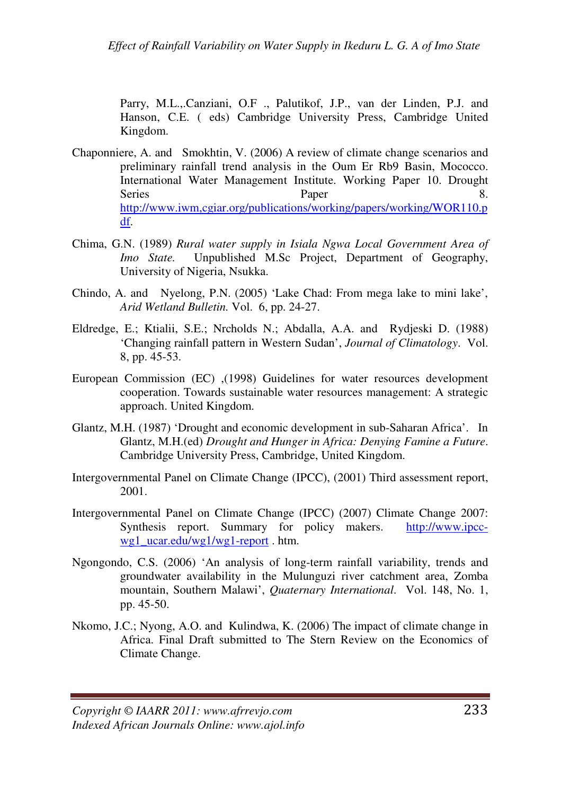Parry, M.L.,.Canziani, O.F ., Palutikof, J.P., van der Linden, P.J. and Hanson, C.E. ( eds) Cambridge University Press, Cambridge United Kingdom.

- Chaponniere, A. and Smokhtin, V. (2006) A review of climate change scenarios and preliminary rainfall trend analysis in the Oum Er Rb9 Basin, Mococco. International Water Management Institute. Working Paper 10. Drought Series Paper 8. http://www.iwm,cgiar.org/publications/working/papers/working/WOR110.p df.
- Chima, G.N. (1989) *Rural water supply in Isiala Ngwa Local Government Area of Imo State.* Unpublished M.Sc Project, Department of Geography, University of Nigeria, Nsukka.
- Chindo, A. and Nyelong, P.N. (2005) 'Lake Chad: From mega lake to mini lake', *Arid Wetland Bulletin.* Vol. 6, pp. 24-27.
- Eldredge, E.; Ktialii, S.E.; Nrcholds N.; Abdalla, A.A. and Rydjeski D. (1988) 'Changing rainfall pattern in Western Sudan', *Journal of Climatology*. Vol. 8, pp. 45-53.
- European Commission (EC) ,(1998) Guidelines for water resources development cooperation. Towards sustainable water resources management: A strategic approach. United Kingdom.
- Glantz, M.H. (1987) 'Drought and economic development in sub-Saharan Africa'. In Glantz, M.H.(ed) *Drought and Hunger in Africa: Denying Famine a Future*. Cambridge University Press, Cambridge, United Kingdom.
- Intergovernmental Panel on Climate Change (IPCC), (2001) Third assessment report, 2001.
- Intergovernmental Panel on Climate Change (IPCC) (2007) Climate Change 2007: Synthesis report. Summary for policy makers. http://www.ipccwg1\_ucar.edu/wg1/wg1-report . htm.
- Ngongondo, C.S. (2006) 'An analysis of long-term rainfall variability, trends and groundwater availability in the Mulunguzi river catchment area, Zomba mountain, Southern Malawi', *Quaternary International*. Vol. 148, No. 1, pp. 45-50.
- Nkomo, J.C.; Nyong, A.O. and Kulindwa, K. (2006) The impact of climate change in Africa. Final Draft submitted to The Stern Review on the Economics of Climate Change.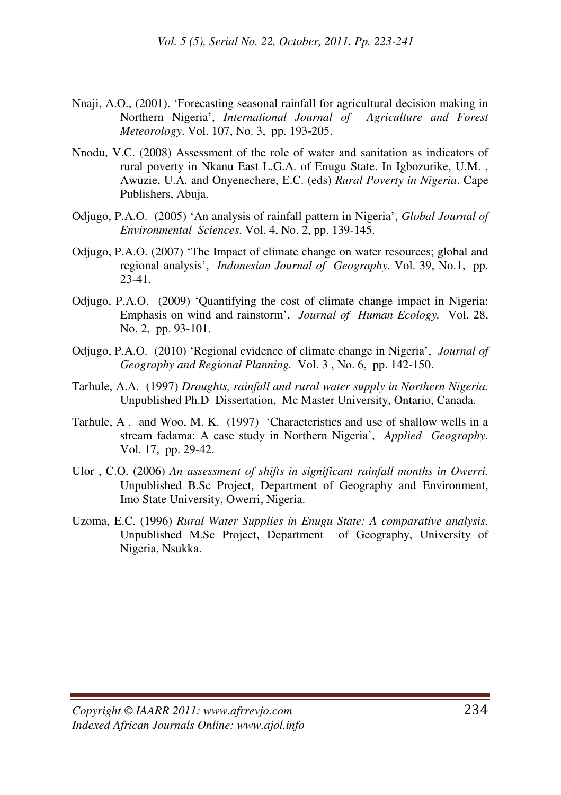- Nnaji, A.O., (2001). 'Forecasting seasonal rainfall for agricultural decision making in Northern Nigeria', *International Journal of Agriculture and Forest Meteorology*. Vol. 107, No. 3, pp. 193-205.
- Nnodu, V.C. (2008) Assessment of the role of water and sanitation as indicators of rural poverty in Nkanu East L.G.A. of Enugu State. In Igbozurike, U.M. , Awuzie, U.A. and Onyenechere, E.C. (eds) *Rural Poverty in Nigeria*. Cape Publishers, Abuja.
- Odjugo, P.A.O. (2005) 'An analysis of rainfall pattern in Nigeria', *Global Journal of Environmental Sciences*. Vol. 4, No. 2, pp. 139-145.
- Odjugo, P.A.O. (2007) 'The Impact of climate change on water resources; global and regional analysis', *Indonesian Journal of Geography.* Vol. 39, No.1, pp.  $23-41.$
- Odjugo, P.A.O. (2009) 'Quantifying the cost of climate change impact in Nigeria: Emphasis on wind and rainstorm', *Journal of Human Ecology.* Vol. 28, No. 2, pp. 93-101.
- Odjugo, P.A.O. (2010) 'Regional evidence of climate change in Nigeria', *Journal of Geography and Regional Planning.* Vol. 3 , No. 6, pp. 142-150.
- Tarhule, A.A. (1997) *Droughts, rainfall and rural water supply in Northern Nigeria.*  Unpublished Ph.D Dissertation, Mc Master University, Ontario, Canada.
- Tarhule, A . and Woo, M. K. (1997) 'Characteristics and use of shallow wells in a stream fadama: A case study in Northern Nigeria', *Applied Geography.* Vol. 17, pp. 29-42.
- Ulor , C.O. (2006) *An assessment of shifts in significant rainfall months in Owerri.*  Unpublished B.Sc Project, Department of Geography and Environment, Imo State University, Owerri, Nigeria.
- Uzoma, E.C. (1996) *Rural Water Supplies in Enugu State: A comparative analysis.*  Unpublished M.Sc Project, Department of Geography, University of Nigeria, Nsukka.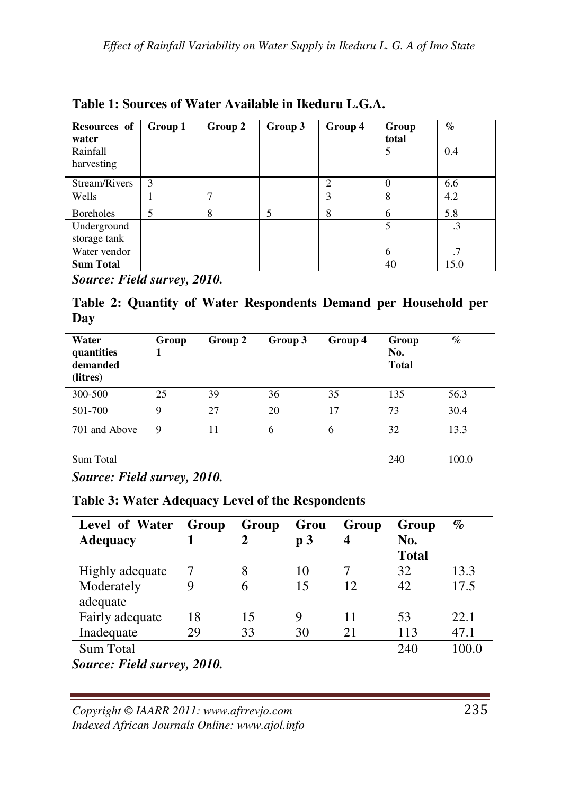| Resources of<br>water       | Group 1 | Group 2 | Group 3 | Group 4        | Group<br>total | $\%$      |
|-----------------------------|---------|---------|---------|----------------|----------------|-----------|
| Rainfall<br>harvesting      |         |         |         |                | 5              | 0.4       |
| Stream/Rivers               | 3       |         |         | $\overline{c}$ | 0              | 6.6       |
| Wells                       |         |         |         | ٩              | 8              | 4.2       |
| <b>Boreholes</b>            | 5       | 8       | 5       | 8              | 6              | 5.8       |
| Underground<br>storage tank |         |         |         |                | 5              | $\cdot$ 3 |
| Water vendor                |         |         |         |                | 6              | .7        |
| <b>Sum Total</b>            |         |         |         |                | 40             | 15.0      |

**Table 1: Sources of Water Available in Ikeduru L.G.A.** 

*Source: Field survey, 2010.* 

**Table 2: Quantity of Water Respondents Demand per Household per Day** 

| Water<br>quantities<br>demanded<br>(litres) | Group | Group 2 | Group 3 | Group 4 | Group<br>No.<br><b>Total</b> | $\%$  |
|---------------------------------------------|-------|---------|---------|---------|------------------------------|-------|
| 300-500                                     | 25    | 39      | 36      | 35      | 135                          | 56.3  |
| 501-700                                     | 9     | 27      | 20      | 17      | 73                           | 30.4  |
| 701 and Above                               | 9     | 11      | 6       | 6       | 32                           | 13.3  |
| Sum Total                                   |       |         |         |         | 240                          | 100.0 |

*Source: Field survey, 2010.* 

**Table 3: Water Adequacy Level of the Respondents** 

| Level of Water<br><b>Adequacy</b>            | Group | Group<br>2 | Grou<br>p <sub>3</sub> | Group<br>$\boldsymbol{4}$ | Group<br>No.<br><b>Total</b> | $\%$  |
|----------------------------------------------|-------|------------|------------------------|---------------------------|------------------------------|-------|
| Highly adequate                              |       | 8          | 10                     |                           | 32                           | 13.3  |
| Moderately<br>adequate                       | 9     | 6          | 15                     | 12                        | 42                           | 17.5  |
| Fairly adequate                              | 18    | 15         | 9                      | 11                        | 53                           | 22.1  |
| Inadequate                                   | 29    | 33         | 30                     | 21                        | 113                          | 47.1  |
| Sum Total                                    |       |            |                        |                           | 240                          | 100.0 |
| $C_{21}$ $D_{12}$ $D_{23}$ $D_{33}$ $D_{41}$ |       |            |                        |                           |                              |       |

*Source: Field survey, 2010.* 

*Copyright © IAARR 2011: www.afrrevjo.com* 235 *Indexed African Journals Online: www.ajol.info*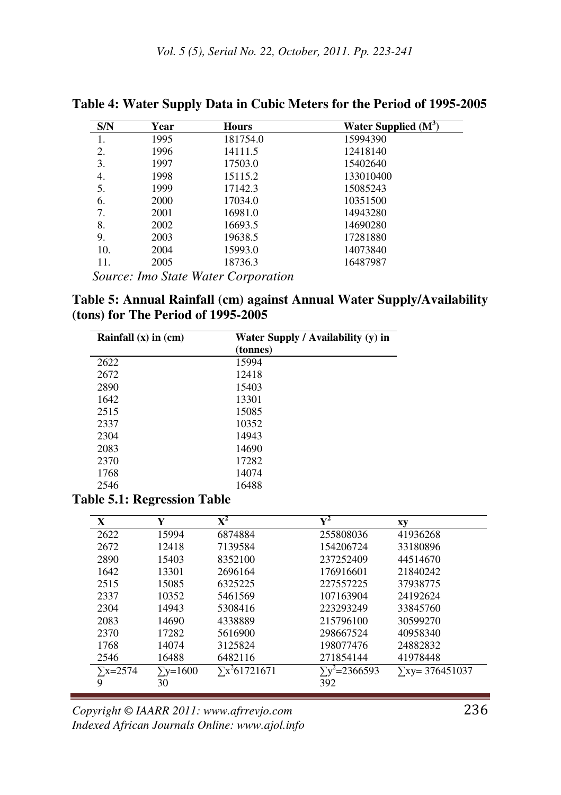| S/N | Year | <b>Hours</b>                               | Water Supplied $(M^3)$ |
|-----|------|--------------------------------------------|------------------------|
| 1.  | 1995 | 181754.0                                   | 15994390               |
| 2.  | 1996 | 14111.5                                    | 12418140               |
| 3.  | 1997 | 17503.0                                    | 15402640               |
| 4.  | 1998 | 15115.2                                    | 133010400              |
| 5.  | 1999 | 17142.3                                    | 15085243               |
| 6.  | 2000 | 17034.0                                    | 10351500               |
| 7.  | 2001 | 16981.0                                    | 14943280               |
| 8.  | 2002 | 16693.5                                    | 14690280               |
| 9.  | 2003 | 19638.5                                    | 17281880               |
| 10. | 2004 | 15993.0                                    | 14073840               |
| 11. | 2005 | 18736.3                                    | 16487987               |
|     |      | <i>Source: Imo State Water Corporation</i> |                        |

**Table 4: Water Supply Data in Cubic Meters for the Period of 1995-2005** 

**Table 5: Annual Rainfall (cm) against Annual Water Supply/Availability (tons) for The Period of 1995-2005** 

| Rainfall $(x)$ in $(cm)$ | Water Supply / Availability (y) in<br>(tonnes) |
|--------------------------|------------------------------------------------|
| 2622                     | 15994                                          |
| 2672                     | 12418                                          |
| 2890                     | 15403                                          |
| 1642                     | 13301                                          |
| 2515                     | 15085                                          |
| 2337                     | 10352                                          |
| 2304                     | 14943                                          |
| 2083                     | 14690                                          |
| 2370                     | 17282                                          |
| 1768                     | 14074                                          |
| 2546                     | 16488                                          |

#### **Table 5.1: Regression Table**

| X               | Y          | $\mathbf{X}^2$        | $\mathbf{Y}^2$       | хy                     |
|-----------------|------------|-----------------------|----------------------|------------------------|
| 2622            | 15994      | 6874884               | 255808036            | 41936268               |
| 2672            | 12418      | 7139584               | 154206724            | 33180896               |
| 2890            | 15403      | 8352100               | 237252409            | 44514670               |
| 1642            | 13301      | 2696164               | 176916601            | 21840242               |
| 2515            | 15085      | 6325225               | 227557225            | 37938775               |
| 2337            | 10352      | 5461569               | 107163904            | 24192624               |
| 2304            | 14943      | 5308416               | 223293249            | 33845760               |
| 2083            | 14690      | 4338889               | 215796100            | 30599270               |
| 2370            | 17282      | 5616900               | 298667524            | 40958340               |
| 1768            | 14074      | 3125824               | 198077476            | 24882832               |
| 2546            | 16488      | 6482116               | 271854144            | 41978448               |
| $\Sigma$ x=2574 | $Y = 1600$ | $\Sigma x^2 61721671$ | $\sum y^2 = 2366593$ | $\Sigma$ xy= 376451037 |
| 9               | 30         |                       | 392                  |                        |

*Copyright © IAARR 2011: www.afrrevjo.com* 236 *Indexed African Journals Online: www.ajol.info*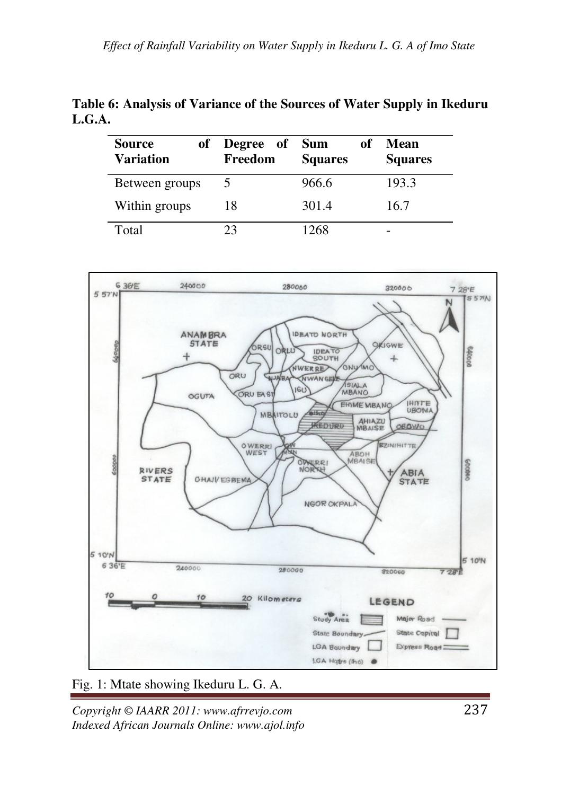| Table 6: Analysis of Variance of the Sources of Water Supply in Ikeduru |  |
|-------------------------------------------------------------------------|--|
| L.G.A.                                                                  |  |

| <b>Source</b><br>of<br>Variation | Degree of<br>Freedom | <b>Sum</b><br>оf<br><b>Squares</b> | Mean<br><b>Squares</b> |
|----------------------------------|----------------------|------------------------------------|------------------------|
| Between groups                   | 5                    | 966.6                              | 193.3                  |
| Within groups                    | 18                   | 301.4                              | 16.7                   |
| Total                            | 23                   | 1268                               |                        |



# Fig. 1: Mtate showing Ikeduru L. G. A.

*Copyright © IAARR 2011: www.afrrevjo.com* 237 *Indexed African Journals Online: www.ajol.info*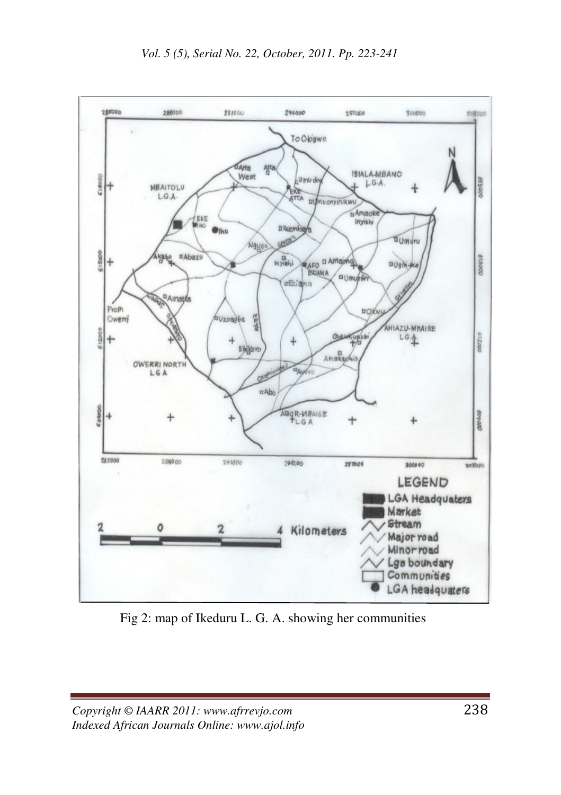

Fig 2: map of Ikeduru L. G. A. showing her communities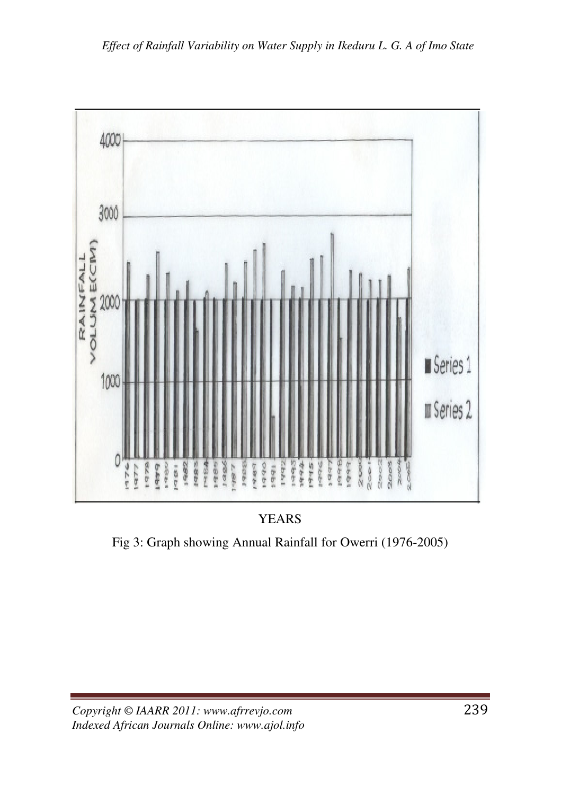

YEARS

Fig 3: Graph showing Annual Rainfall for Owerri (1976-2005)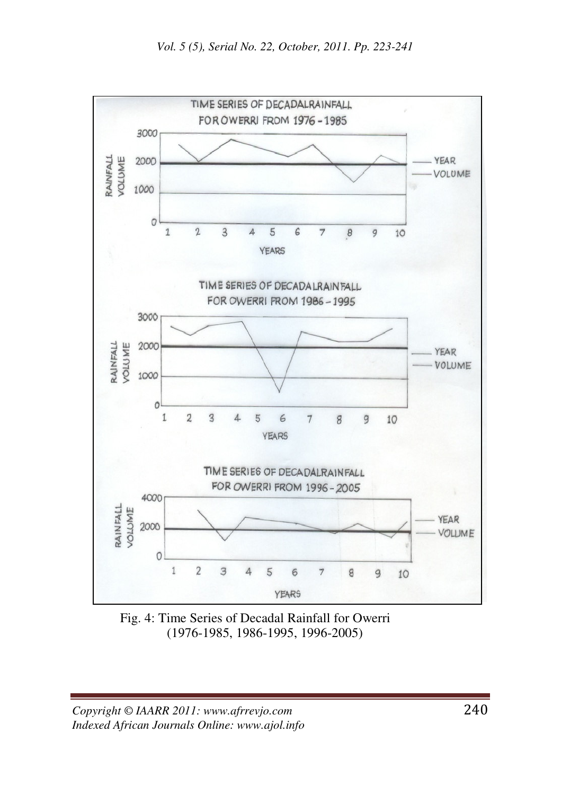

Fig. 4: Time Series of Decadal Rainfall for Owerri (1976-1985, 1986-1995, 1996-2005)